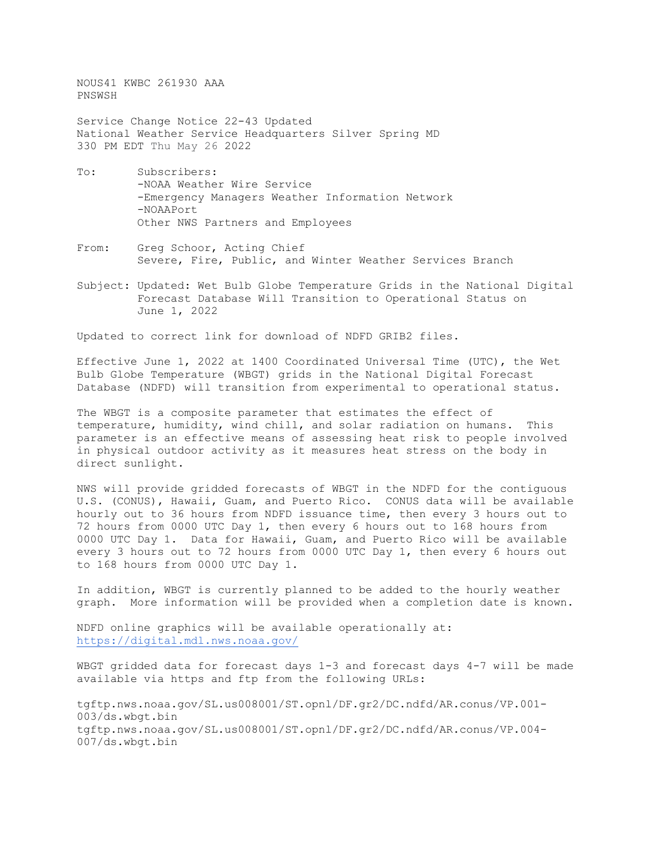NOUS41 KWBC 261930 AAA PNSWSH

Service Change Notice 22-43 Updated National Weather Service Headquarters Silver Spring MD 330 PM EDT Thu May 26 2022

- To: Subscribers: -NOAA Weather Wire Service -Emergency Managers Weather Information Network -NOAAPort Other NWS Partners and Employees
- From: Greg Schoor, Acting Chief Severe, Fire, Public, and Winter Weather Services Branch
- Subject: Updated: Wet Bulb Globe Temperature Grids in the National Digital Forecast Database Will Transition to Operational Status on June 1, 2022

Updated to correct link for download of NDFD GRIB2 files.

Effective June 1, 2022 at 1400 Coordinated Universal Time (UTC), the Wet Bulb Globe Temperature (WBGT) grids in the National Digital Forecast Database (NDFD) will transition from experimental to operational status.

The WBGT is a composite parameter that estimates the effect of temperature, humidity, wind chill, and solar radiation on humans. This parameter is an effective means of assessing heat risk to people involved in physical outdoor activity as it measures heat stress on the body in direct sunlight.

NWS will provide gridded forecasts of WBGT in the NDFD for the contiguous U.S. (CONUS), Hawaii, Guam, and Puerto Rico. CONUS data will be available hourly out to 36 hours from NDFD issuance time, then every 3 hours out to 72 hours from 0000 UTC Day 1, then every 6 hours out to 168 hours from 0000 UTC Day 1. Data for Hawaii, Guam, and Puerto Rico will be available every 3 hours out to 72 hours from 0000 UTC Day 1, then every 6 hours out to 168 hours from 0000 UTC Day 1.

In addition, WBGT is currently planned to be added to the hourly weather graph. More information will be provided when a completion date is known.

NDFD online graphics will be available operationally at: <https://digital.mdl.nws.noaa.gov/>

WBGT gridded data for forecast days 1-3 and forecast days 4-7 will be made available via https and ftp from the following URLs:

tgftp.nws.noaa.gov/SL.us008001/ST.opnl/DF.gr2/DC.ndfd/AR.conus/VP.001- 003/ds.wbgt.bin tgftp.nws.noaa.gov/SL.us008001/ST.opnl/DF.gr2/DC.ndfd/AR.conus/VP.004- 007/ds.wbgt.bin